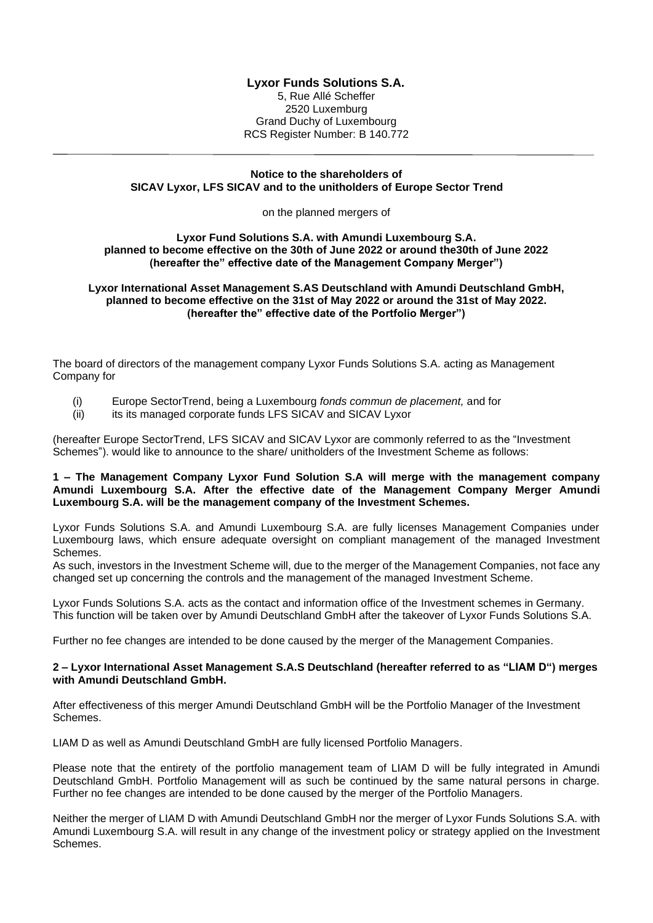# **Lyxor Funds Solutions S.A.**

5, Rue Allé Scheffer 2520 Luxemburg Grand Duchy of Luxembourg RCS Register Number: B 140.772

### **Notice to the shareholders of SICAV Lyxor, LFS SICAV and to the unitholders of Europe Sector Trend**

on the planned mergers of

#### **Lyxor Fund Solutions S.A. with Amundi Luxembourg S.A. planned to become effective on the 30th of June 2022 or around the30th of June 2022 (hereafter the" effective date of the Management Company Merger")**

# **Lyxor International Asset Management S.AS Deutschland with Amundi Deutschland GmbH, planned to become effective on the 31st of May 2022 or around the 31st of May 2022. (hereafter the" effective date of the Portfolio Merger")**

The board of directors of the management company Lyxor Funds Solutions S.A. acting as Management Company for

- (i) Europe SectorTrend, being a Luxembourg *fonds commun de placement,* and for
- (ii) its its managed corporate funds LFS SICAV and SICAV Lyxor

(hereafter Europe SectorTrend, LFS SICAV and SICAV Lyxor are commonly referred to as the "Investment Schemes"). would like to announce to the share/ unitholders of the Investment Scheme as follows:

# **1 – The Management Company Lyxor Fund Solution S.A will merge with the management company Amundi Luxembourg S.A. After the effective date of the Management Company Merger Amundi Luxembourg S.A. will be the management company of the Investment Schemes.**

Lyxor Funds Solutions S.A. and Amundi Luxembourg S.A. are fully licenses Management Companies under Luxembourg laws, which ensure adequate oversight on compliant management of the managed Investment Schemes.

As such, investors in the Investment Scheme will, due to the merger of the Management Companies, not face any changed set up concerning the controls and the management of the managed Investment Scheme.

Lyxor Funds Solutions S.A. acts as the contact and information office of the Investment schemes in Germany. This function will be taken over by Amundi Deutschland GmbH after the takeover of Lyxor Funds Solutions S.A.

Further no fee changes are intended to be done caused by the merger of the Management Companies.

### **2 – Lyxor International Asset Management S.A.S Deutschland (hereafter referred to as "LIAM D") merges with Amundi Deutschland GmbH.**

After effectiveness of this merger Amundi Deutschland GmbH will be the Portfolio Manager of the Investment Schemes.

LIAM D as well as Amundi Deutschland GmbH are fully licensed Portfolio Managers.

Please note that the entirety of the portfolio management team of LIAM D will be fully integrated in Amundi Deutschland GmbH. Portfolio Management will as such be continued by the same natural persons in charge. Further no fee changes are intended to be done caused by the merger of the Portfolio Managers.

Neither the merger of LIAM D with Amundi Deutschland GmbH nor the merger of Lyxor Funds Solutions S.A. with Amundi Luxembourg S.A. will result in any change of the investment policy or strategy applied on the Investment Schemes.